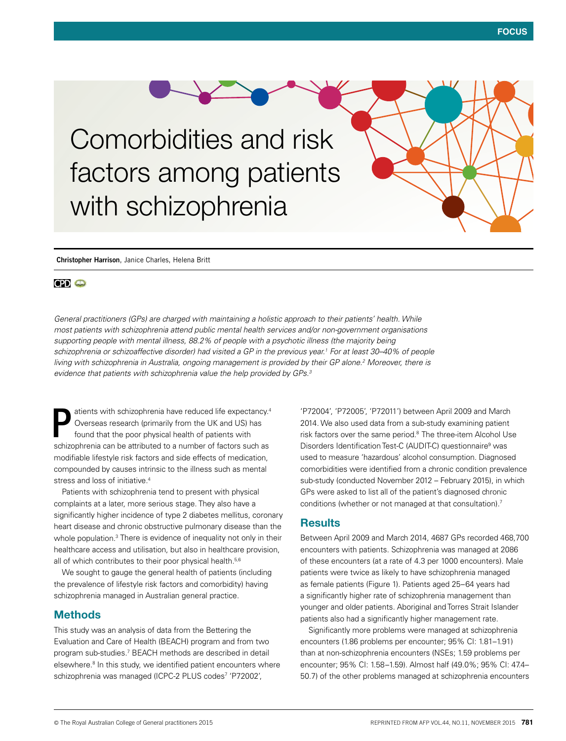Comorbidities and risk factors among patients with schizophrenia

**Christopher Harrison**, Janice Charles, Helena Britt

# **CPI** O

*General practitioners (GPs) are charged with maintaining a holistic approach to their patients' health. While most patients with schizophrenia attend public mental health services and/or non-government organisations supporting people with mental illness, 88.2% of people with a psychotic illness (the majority being schizophrenia or schizoaffective disorder) had visited a GP in the previous year.1 For at least 30–40% of people living with schizophrenia in Australia, ongoing management is provided by their GP alone.2 Moreover, there is evidence that patients with schizophrenia value the help provided by GPs.3*

atients with schizophrenia have reduced life expectancy.4 Overseas research (primarily from the UK and US) has found that the poor physical health of patients with schizophrenia can be attributed to a number of factors such as modifiable lifestyle risk factors and side effects of medication, compounded by causes intrinsic to the illness such as mental stress and loss of initiative.<sup>4</sup> P

Patients with schizophrenia tend to present with physical complaints at a later, more serious stage. They also have a significantly higher incidence of type 2 diabetes mellitus, coronary heart disease and chronic obstructive pulmonary disease than the whole population.<sup>3</sup> There is evidence of inequality not only in their healthcare access and utilisation, but also in healthcare provision, all of which contributes to their poor physical health.<sup>5,6</sup>

We sought to gauge the general health of patients (including the prevalence of lifestyle risk factors and comorbidity) having schizophrenia managed in Australian general practice.

## Methods

This study was an analysis of data from the Bettering the Evaluation and Care of Health (BEACH) program and from two program sub-studies.7 BEACH methods are described in detail elsewhere.<sup>8</sup> In this study, we identified patient encounters where schizophrenia was managed (ICPC-2 PLUS codes<sup>7</sup> 'P72002',

'P72004', 'P72005', 'P72011') between April 2009 and March 2014. We also used data from a sub-study examining patient risk factors over the same period.<sup>8</sup> The three-item Alcohol Use Disorders Identification Test-C (AUDIT-C) questionnaire<sup>9</sup> was used to measure 'hazardous' alcohol consumption. Diagnosed comorbidities were identified from a chronic condition prevalence sub-study (conducted November 2012 – February 2015), in which GPs were asked to list all of the patient's diagnosed chronic conditions (whether or not managed at that consultation).7

# **Results**

Between April 2009 and March 2014, 4687 GPs recorded 468,700 encounters with patients. Schizophrenia was managed at 2086 of these encounters (at a rate of 4.3 per 1000 encounters). Male patients were twice as likely to have schizophrenia managed as female patients (Figure 1). Patients aged 25–64 years had a significantly higher rate of schizophrenia management than younger and older patients. Aboriginal and Torres Strait Islander patients also had a significantly higher management rate.

Significantly more problems were managed at schizophrenia encounters (1.86 problems per encounter; 95% CI: 1.81–1.91) than at non-schizophrenia encounters (NSEs; 1.59 problems per encounter; 95% CI: 1.58–1.59). Almost half (49.0%; 95% CI: 47.4– 50.7) of the other problems managed at schizophrenia encounters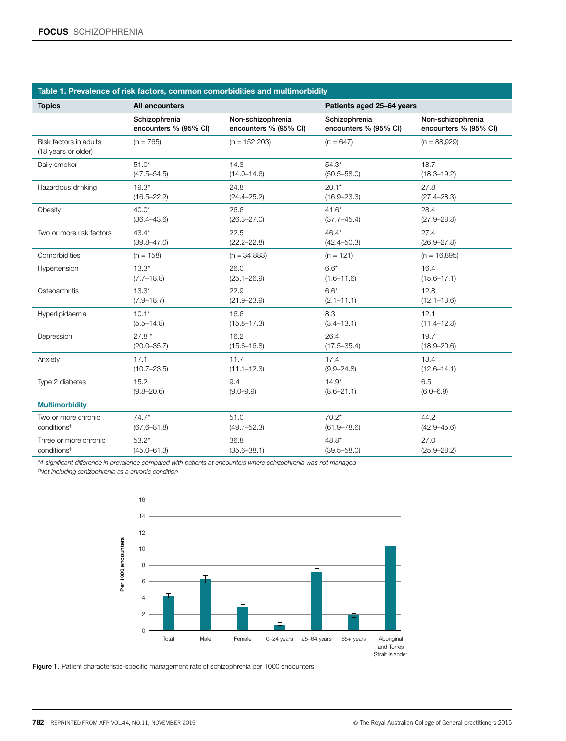### Table 1. Prevalence of risk factors, common comorbidities and multimorbidity

| <b>Topics</b>                                 | <b>All encounters</b> |                       | Patients aged 25-64 years |                       |
|-----------------------------------------------|-----------------------|-----------------------|---------------------------|-----------------------|
|                                               | Schizophrenia         | Non-schizophrenia     | Schizophrenia             | Non-schizophrenia     |
|                                               | encounters % (95% CI) | encounters % (95% CI) | encounters % (95% CI)     | encounters % (95% CI) |
| Risk factors in adults<br>(18 years or older) | $(n = 765)$           | $(n = 152,203)$       | $(n = 647)$               | $(n = 88,929)$        |
| Daily smoker                                  | $51.0*$               | 14.3                  | $54.3*$                   | 18.7                  |
|                                               | $(47.5 - 54.5)$       | $(14.0 - 14.6)$       | $(50.5 - 58.0)$           | $(18.3 - 19.2)$       |
| Hazardous drinking                            | $19.3*$               | 24.8                  | $20.1*$                   | 27.8                  |
|                                               | $(16.5 - 22.2)$       | $(24.4 - 25.2)$       | $(16.9 - 23.3)$           | $(27.4 - 28.3)$       |
| Obesity                                       | $40.0*$               | 26.6                  | $41.6*$                   | 28.4                  |
|                                               | $(36.4 - 43.6)$       | $(26.3 - 27.0)$       | $(37.7 - 45.4)$           | $(27.9 - 28.8)$       |
| Two or more risk factors                      | $43.4*$               | 22.5                  | $46.4*$                   | 27.4                  |
|                                               | $(39.8 - 47.0)$       | $(22.2 - 22.8)$       | $(42.4 - 50.3)$           | $(26.9 - 27.8)$       |
| Comorbidities                                 | $(n = 158)$           | $(n = 34,883)$        | $(n = 121)$               | $(n = 16,895)$        |
| Hypertension                                  | $13.3*$               | 26.0                  | $6.6*$                    | 16.4                  |
|                                               | $(7.7 - 18.8)$        | $(25.1 - 26.9)$       | $(1.6 - 11.6)$            | $(15.6 - 17.1)$       |
| Osteoarthritis                                | $13.3*$               | 22.9                  | $6.6*$                    | 12.8                  |
|                                               | $(7.9 - 18.7)$        | $(21.9 - 23.9)$       | $(2.1 - 11.1)$            | $(12.1 - 13.6)$       |
| Hyperlipidaemia                               | $10.1*$               | 16.6                  | 8.3                       | 12.1                  |
|                                               | $(5.5 - 14.8)$        | $(15.8 - 17.3)$       | $(3.4 - 13.1)$            | $(11.4 - 12.8)$       |
| Depression                                    | $27.8*$               | 16.2                  | 26.4                      | 19.7                  |
|                                               | $(20.0 - 35.7)$       | $(15.6 - 16.8)$       | $(17.5 - 35.4)$           | $(18.9 - 20.6)$       |
| Anxiety                                       | 17.1                  | 11.7                  | 17.4                      | 13.4                  |
|                                               | $(10.7 - 23.5)$       | $(11.1 - 12.3)$       | $(9.9 - 24.8)$            | $(12.6 - 14.1)$       |
| Type 2 diabetes                               | 15.2                  | 9.4                   | $14.9*$                   | 6.5                   |
|                                               | $(9.8 - 20.6)$        | $(9.0 - 9.9)$         | $(8.6 - 21.1)$            | $(6.0 - 6.9)$         |
| <b>Multimorbidity</b>                         |                       |                       |                           |                       |
| Two or more chronic                           | $74.7*$               | 51.0                  | $70.2*$                   | 44.2                  |
| conditions <sup>†</sup>                       | $(67.6 - 81.8)$       | $(49.7 - 52.3)$       | $(61.9 - 78.6)$           | $(42.9 - 45.6)$       |
| Three or more chronic                         | $53.2*$               | 36.8                  | 48.8*                     | 27.0                  |
| conditions <sup>†</sup>                       | $(45.0 - 61.3)$       | $(35.6 - 38.1)$       | $(39.5 - 58.0)$           | $(25.9 - 28.2)$       |

*\*A significant difference in prevalence compared with patients at encounters where schizophrenia was not managed † Not including schizophrenia as a chronic condition*